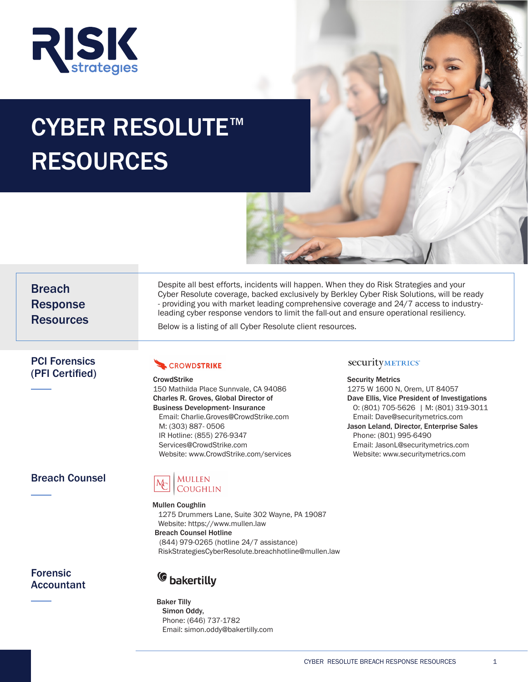

# CYBER RESOLUTE<sup>™</sup> RESOURCES

Breach Response Resources

Despite all best efforts, incidents will happen. When they do Risk Strategies and your Cyber Resolute coverage, backed exclusively by Berkley Cyber Risk Solutions, will be ready - providing you with market leading comprehensive coverage and 24/7 access to industryleading cyber response vendors to limit the fall-out and ensure operational resiliency.

Below is a listing of all Cyber Resolute client resources.

### PCI Forensics (PFI Certified)

## **CROWDSTRIKE**

**CrowdStrike** 150 Mathilda Place Sunnvale, CA 94086 Charles R. Groves, Global Director of Business Development- Insurance Email: Charlie.Groves@CrowdStrike.com M: (303) 887- 0506 IR Hotline: (855) 276-9347 Services@CrowdStrike.com Website: www.CrowdStrike.com/services

# Breach Counsel

### Mullen **COUGHLIN**

Mullen Coughlin 1275 Drummers Lane, Suite 302 Wayne, PA 19087 Website: https://www.mullen.law Breach Counsel Hotline

 (844) 979-0265 (hotline 24/7 assistance) RiskStrategiesCyberResolute.breachhotline@mullen.law

# Forensic Accountant

<sup>C</sup> bakertilly

Baker Tilly Simon Oddy, Phone: (646) 737-1782 Email: simon.oddy@bakertilly.com

### securityMETRICS\*

Security Metrics 1275 W 1600 N, Orem, UT 84057 Dave Ellis, Vice President of Investigations O: (801) 705-5626 | M: (801) 319-3011 Email: Dave@securitymetrics.com Jason Leland, Director, Enterprise Sales Phone: (801) 995-6490 Email: JasonL@securitymetrics.com Website: www.securitymetrics.com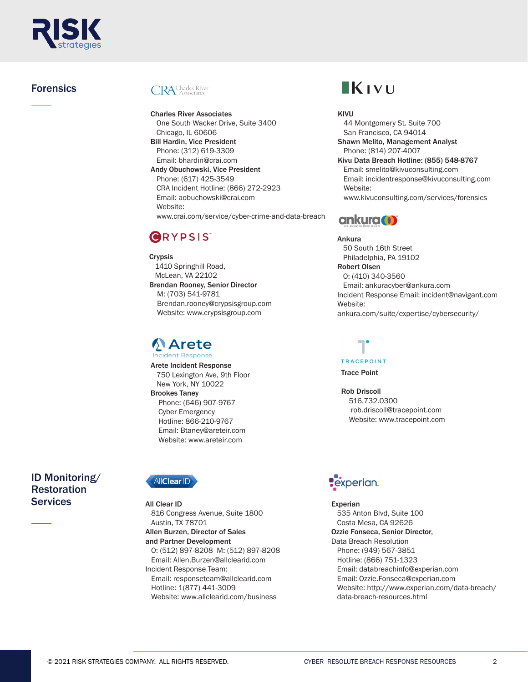

# Forensics

# **CRA** Charles River

Charles River Associates One South Wacker Drive, Suite 3400 Chicago, IL 60606 Bill Hardin, Vice President Phone: (312) 619-3309 Email: bhardin@crai.com

Andy Obuchowski, Vice President Phone: (617) 425-3549 CRA Incident Hotline: (866) 272-2923 Email: aobuchowski@crai.com Website: www.crai.com/service/cyber-crime-and-data-breach

# **GRYPSIS**

Crypsis 1410 Springhill Road, McLean, VA 22102 Brendan Rooney, Senior Director M: (703) 541-9781 Brendan.rooney@crypsisgroup.com Website: www.crypsisgroup.com

# **Arete**

Arete Incident Response 750 Lexington Ave, 9th Floor New York, NY 10022 Brookes Taney Phone: (646) 907-9767 Cyber Emergency Hotline: 866-210-9767 Email: Btaney@areteir.com Website: www.areteir.com

# ID Monitoring/ **Restoration** Services All Clear ID And Services Experian



All Clear ID 816 Congress Avenue, Suite 1800 Austin, TX 78701 Allen Burzen, Director of Sales and Partner Development O: (512) 897-8208 M: (512) 897-8208 Email: Allen.Burzen@allclearid.com Incident Response Team: Email: responseteam@allclearid.com Hotline: 1(877) 441-3009

Website: www.allclearid.com/business

# $\blacksquare$ K $\blacksquare$

#### KIVU

 44 Montgomery St. Suite 700 San Francisco, CA 94014 Shawn Melito, Management Analyst Phone: (814) 207-4007 Kivu Data Breach Hotline: (855) 548-8767 Email: smelito@kivuconsulting.com Email: incidentresponse@kivuconsulting.com Website: www.kivuconsulting.com/services/forensics



Ankura 50 South 16th Street Philadelphia, PA 19102 Robert Olsen O: (410) 340-3560 Email: ankuracyber@ankura.com Incident Response Email: incident@navigant.com Website: ankura.com/suite/expertise/cybersecurity/

#### **TRACEPOINT**

Trace Point

Rob Driscoll 516.732.0300 rob.driscoll@tracepoint.com Website: www.tracepoint.com

# **Pexperian**

 535 Anton Blvd, Suite 100 Costa Mesa, CA 92626 Ozzie Fonseca, Senior Director, Data Breach Resolution Phone: (949) 567-3851 Hotline: (866) 751-1323 Email: databreachinfo@experian.com Email: Ozzie.Fonseca@experian.com Website: http://www.experian.com/data-breach/ data-breach-resources.html